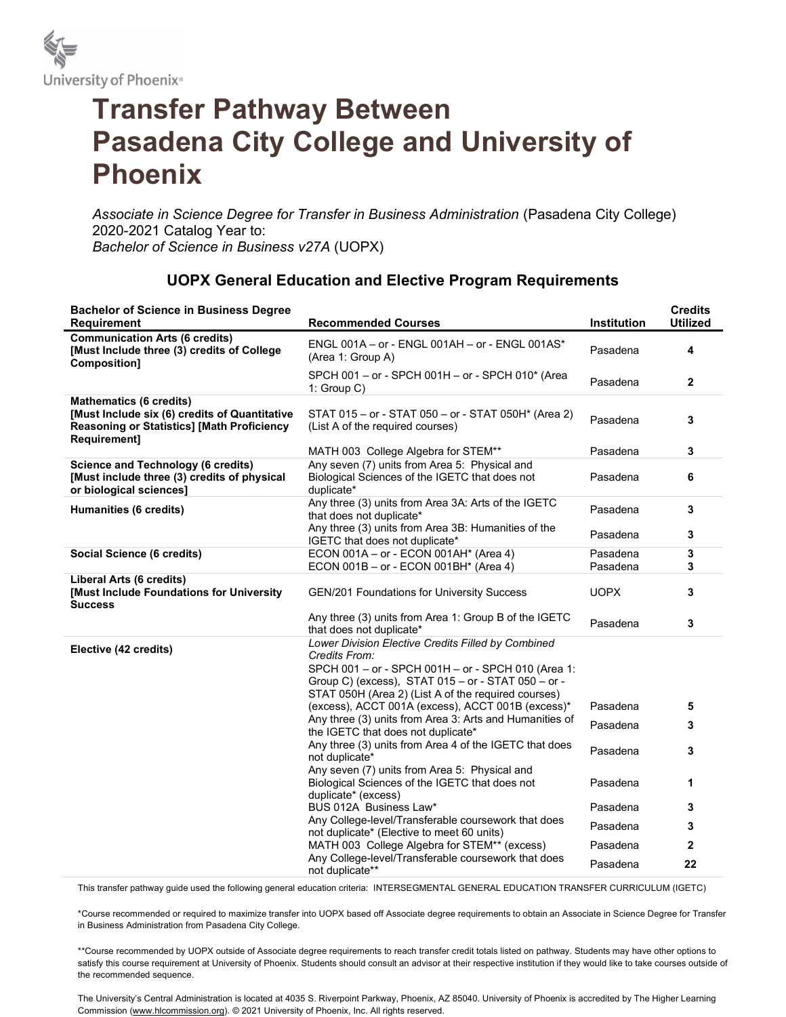

## Transfer Pathway Between Pasadena City College and University of Phoenix

Associate in Science Degree for Transfer in Business Administration (Pasadena City College) 2020-2021 Catalog Year to: Bachelor of Science in Business v27A (UOPX)

## UOPX General Education and Elective Program Requirements

| <b>Bachelor of Science in Business Degree</b><br><b>Requirement</b>                                                                                  | <b>Recommended Courses</b>                                                                                                                                                                                                             | <b>Institution</b> | <b>Credits</b><br><b>Utilized</b> |
|------------------------------------------------------------------------------------------------------------------------------------------------------|----------------------------------------------------------------------------------------------------------------------------------------------------------------------------------------------------------------------------------------|--------------------|-----------------------------------|
| <b>Communication Arts (6 credits)</b><br>[Must Include three (3) credits of College<br>Composition]                                                  | ENGL 001A - or - ENGL 001AH - or - ENGL 001AS*<br>(Area 1: Group A)                                                                                                                                                                    | Pasadena           | 4                                 |
|                                                                                                                                                      | SPCH 001 - or - SPCH 001H - or - SPCH 010* (Area<br>1: $Group C)$                                                                                                                                                                      | Pasadena           | $\mathbf{2}$                      |
| <b>Mathematics (6 credits)</b><br>[Must Include six (6) credits of Quantitative<br><b>Reasoning or Statistics] [Math Proficiency</b><br>Requirement] | STAT 015 - or - STAT 050 - or - STAT 050H* (Area 2)<br>(List A of the required courses)                                                                                                                                                | Pasadena           | 3                                 |
|                                                                                                                                                      | MATH 003 College Algebra for STEM**                                                                                                                                                                                                    | Pasadena           | 3                                 |
| <b>Science and Technology (6 credits)</b><br>[Must include three (3) credits of physical<br>or biological sciences]                                  | Any seven (7) units from Area 5: Physical and<br>Biological Sciences of the IGETC that does not<br>duplicate*                                                                                                                          | Pasadena           | 6                                 |
| Humanities (6 credits)                                                                                                                               | Any three (3) units from Area 3A: Arts of the IGETC<br>that does not duplicate*                                                                                                                                                        | Pasadena           | $\mathbf{3}$                      |
|                                                                                                                                                      | Any three (3) units from Area 3B: Humanities of the<br>IGETC that does not duplicate*                                                                                                                                                  | Pasadena           | 3                                 |
| Social Science (6 credits)                                                                                                                           | ECON 001A - or - ECON 001AH* (Area 4)                                                                                                                                                                                                  | Pasadena           | $\mathbf{3}$                      |
|                                                                                                                                                      | ECON 001B - or - ECON 001BH* (Area 4)                                                                                                                                                                                                  | Pasadena           | 3                                 |
| Liberal Arts (6 credits)<br>[Must Include Foundations for University<br><b>Success</b>                                                               | <b>GEN/201 Foundations for University Success</b>                                                                                                                                                                                      | <b>UOPX</b>        | 3                                 |
|                                                                                                                                                      | Any three (3) units from Area 1: Group B of the IGETC<br>that does not duplicate*                                                                                                                                                      | Pasadena           | 3                                 |
| Elective (42 credits)                                                                                                                                | Lower Division Elective Credits Filled by Combined<br>Credits From:<br>SPCH 001 - or - SPCH 001H - or - SPCH 010 (Area 1:<br>Group C) (excess), STAT 015 - or - STAT 050 - or -<br>STAT 050H (Area 2) (List A of the required courses) |                    |                                   |
|                                                                                                                                                      | (excess), ACCT 001A (excess), ACCT 001B (excess)*                                                                                                                                                                                      | Pasadena           | 5                                 |
|                                                                                                                                                      | Any three (3) units from Area 3: Arts and Humanities of<br>the IGETC that does not duplicate*                                                                                                                                          | Pasadena           | 3                                 |
|                                                                                                                                                      | Any three (3) units from Area 4 of the IGETC that does<br>not duplicate*                                                                                                                                                               | Pasadena           | 3                                 |
|                                                                                                                                                      | Any seven (7) units from Area 5: Physical and<br>Biological Sciences of the IGETC that does not<br>duplicate* (excess)                                                                                                                 | Pasadena           | 1                                 |
|                                                                                                                                                      | BUS 012A Business Law*                                                                                                                                                                                                                 | Pasadena           | 3                                 |
|                                                                                                                                                      | Any College-level/Transferable coursework that does<br>not duplicate* (Elective to meet 60 units)                                                                                                                                      | Pasadena           | 3                                 |
|                                                                                                                                                      | MATH 003 College Algebra for STEM** (excess)                                                                                                                                                                                           | Pasadena           | $\mathbf{2}$                      |
|                                                                                                                                                      | Any College-level/Transferable coursework that does<br>not duplicate**                                                                                                                                                                 | Pasadena           | 22                                |

This transfer pathway guide used the following general education criteria: INTERSEGMENTAL GENERAL EDUCATION TRANSFER CURRICULUM (IGETC)

\*Course recommended or required to maximize transfer into UOPX based off Associate degree requirements to obtain an Associate in Science Degree for Transfer in Business Administration from Pasadena City College.

\*\*Course recommended by UOPX outside of Associate degree requirements to reach transfer credit totals listed on pathway. Students may have other options to satisfy this course requirement at University of Phoenix. Students should consult an advisor at their respective institution if they would like to take courses outside of the recommended sequence.

The University's Central Administration is located at 4035 S. Riverpoint Parkway, Phoenix, AZ 85040. University of Phoenix is accredited by The Higher Learning Commission (www.hlcommission.org). © 2021 University of Phoenix, Inc. All rights reserved.